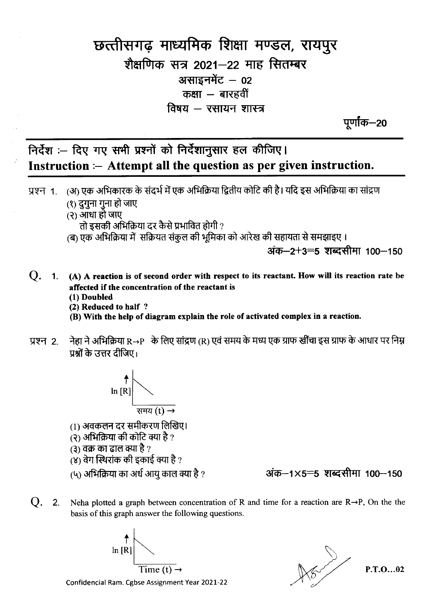## छत्तीसगढ़ माध्यमिक शिक्षा मण्डल, रायपुर शैक्षणिक सत्र 2021–22 माह सितम्बर असाइनमेंट  $-$  02 कक्षा  $-$  बारहवीं विषय  $-$  रसायन शास्त्र

पर्णाक—20

## निर्देश :- दिए गए सभी प्रश्नों को निर्देशानुसार हल कीजिए। Instruction :- Attempt all the question as per given instruction.

- (अ) एक अभिकारक के संदर्भ में एक अभिक्रिया द्वितीय कोटि की है। यदि इस अभिक्रिया का सांद्रण प्रश्न 1.
	- (१) दुगुना गुना हो जाए  $(2)$  आंधा हो जाए
	-

तो इसकी अभिक्रिया दर कैसे प्रभावित होगी ?

(ब) एक अभिक्रिया में सक्रियत संकुल की भूमिका को आरेख की सहायता से समझाइए ।

अंक—2+3=5 शब्दसीमा 100—150

- Q. 1. (A) A reaction is of second order with respect to its reactant. How will its reaction rate be affected if the concentration of the reactant is (1) Doubled
	- (2) Reduced to half?
	- (B) With the help of diagram explain the role of activated complex in a reaction.
- नेहा ने अभिक्रिया R→P के लिए सांद्रण (R) एवं समय के मध्य एक ग्राफ खींचा इस ग्राफ के आधार पर निम्न प्रश्न 2. पश्चों के उत्तर दीजिए।



- (1) अवकलन दर समीकरण लिखिए।
- (२) अभिक्रिया की कोटि क्या है ?
- (३) वक्र का ढाल क्या है ?
- $\alpha$ ) वेग स्थिरांक की इकाई क्या है ?

(५) अभिक्रिया का अर्ध आयु काल क्या है ?

अंक-1×5=5 शब्दसीमा 100-150

 $Q<sub>r</sub>$  $\overline{\phantom{a}}$  2. Neha plotted a graph between concentration of R and time for a reaction are  $R \rightarrow P$ , On the the basis of this graph answer the following questions.





 $P.T.O...02$ 

Confidencial Ram. Cgbse Assignment Year 2021-22